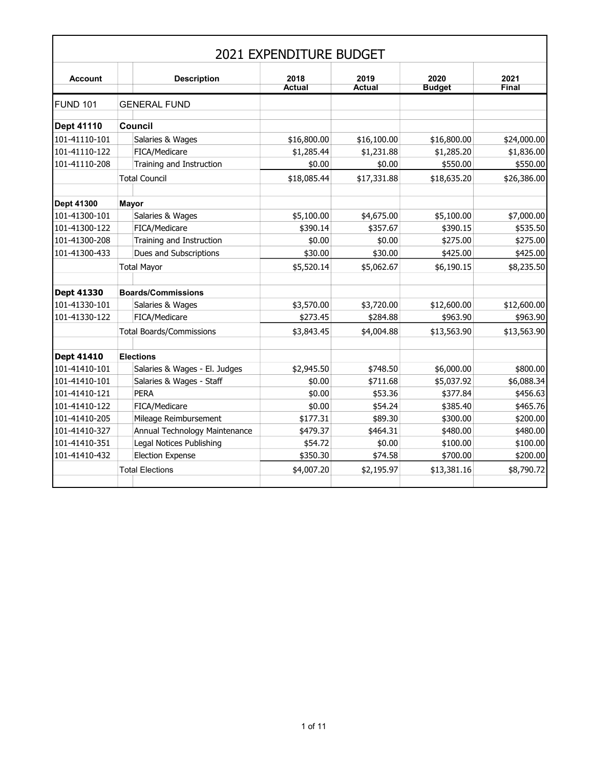|                 |                                 |                               | 2021 EXPENDITURE BUDGET |                       |                       |               |
|-----------------|---------------------------------|-------------------------------|-------------------------|-----------------------|-----------------------|---------------|
| <b>Account</b>  |                                 | <b>Description</b>            | 2018<br><b>Actual</b>   | 2019<br><b>Actual</b> | 2020<br><b>Budget</b> | 2021<br>Final |
| <b>FUND 101</b> | <b>GENERAL FUND</b>             |                               |                         |                       |                       |               |
| Dept 41110      | Council                         |                               |                         |                       |                       |               |
| 101-41110-101   | Salaries & Wages                |                               | \$16,800.00             | \$16,100.00           | \$16,800.00           | \$24,000.00   |
| 101-41110-122   | FICA/Medicare                   |                               | \$1,285.44              | \$1,231.88            | \$1,285.20            | \$1,836.00    |
| 101-41110-208   |                                 | Training and Instruction      | \$0.00                  | \$0.00                | \$550.00              | \$550.00      |
|                 | <b>Total Council</b>            |                               | \$18,085.44             | \$17,331.88           | \$18,635.20           | \$26,386.00   |
| Dept 41300      | <b>Mayor</b>                    |                               |                         |                       |                       |               |
| 101-41300-101   | Salaries & Wages                |                               | \$5,100.00              | \$4,675.00            | \$5,100.00            | \$7,000.00    |
| 101-41300-122   | FICA/Medicare                   |                               | \$390.14                | \$357.67              | \$390.15              | \$535.50      |
| 101-41300-208   |                                 | Training and Instruction      | \$0.00                  | \$0.00                | \$275.00              | \$275.00      |
| 101-41300-433   |                                 | Dues and Subscriptions        | \$30.00                 | \$30.00               | \$425.00              | \$425.00      |
|                 | <b>Total Mayor</b>              |                               | \$5,520.14              | \$5,062.67            | \$6,190.15            | \$8,235.50    |
| Dept 41330      | <b>Boards/Commissions</b>       |                               |                         |                       |                       |               |
| 101-41330-101   | Salaries & Wages                |                               | \$3,570.00              | \$3,720.00            | \$12,600.00           | \$12,600.00   |
| 101-41330-122   | FICA/Medicare                   |                               | \$273.45                | \$284.88              | \$963.90              | \$963.90      |
|                 | <b>Total Boards/Commissions</b> |                               | \$3,843.45              | \$4,004.88            | \$13,563.90           | \$13,563.90   |
| Dept 41410      | <b>Elections</b>                |                               |                         |                       |                       |               |
| 101-41410-101   |                                 | Salaries & Wages - El. Judges | \$2,945.50              | \$748.50              | \$6,000.00            | \$800.00      |
| 101-41410-101   |                                 | Salaries & Wages - Staff      | \$0.00                  | \$711.68              | \$5,037.92            | \$6,088.34    |
| 101-41410-121   | <b>PERA</b>                     |                               | \$0.00                  | \$53.36               | \$377.84              | \$456.63      |
| 101-41410-122   | FICA/Medicare                   |                               | \$0.00                  | \$54.24               | \$385.40              | \$465.76      |
| 101-41410-205   |                                 | Mileage Reimbursement         | \$177.31                | \$89.30               | \$300.00              | \$200.00      |
| 101-41410-327   |                                 | Annual Technology Maintenance | \$479.37                | \$464.31              | \$480.00              | \$480.00      |
| 101-41410-351   |                                 | Legal Notices Publishing      | \$54.72                 | \$0.00                | \$100.00              | \$100.00      |
| 101-41410-432   | <b>Election Expense</b>         |                               | \$350.30                | \$74.58               | \$700.00              | \$200.00      |
|                 | <b>Total Elections</b>          |                               | \$4,007.20              | \$2,195.97            | \$13,381.16           | \$8,790.72    |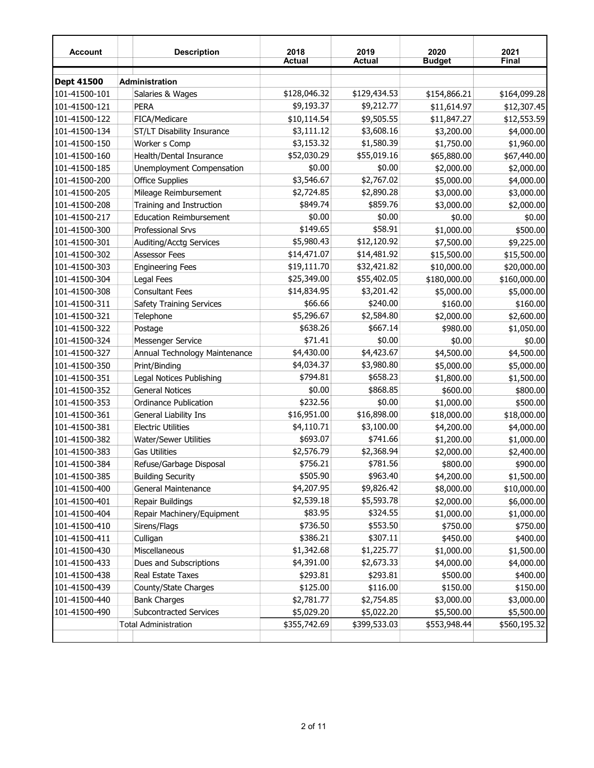| <b>Account</b>    | <b>Description</b>              | 2018<br><b>Actual</b> | 2019<br><b>Actual</b> | 2020<br><b>Budget</b> | 2021<br>Final |
|-------------------|---------------------------------|-----------------------|-----------------------|-----------------------|---------------|
| <b>Dept 41500</b> | Administration                  |                       |                       |                       |               |
| 101-41500-101     | Salaries & Wages                | \$128,046.32          | \$129,434.53          | \$154,866.21          | \$164,099.28  |
| 101-41500-121     | PERA                            | \$9,193.37            | \$9,212.77            | \$11,614.97           | \$12,307.45   |
| 101-41500-122     | FICA/Medicare                   | \$10,114.54           | \$9,505.55            | \$11,847.27           | \$12,553.59   |
| 101-41500-134     | ST/LT Disability Insurance      | \$3,111.12            | \$3,608.16            | \$3,200.00            | \$4,000.00    |
| 101-41500-150     | Worker s Comp                   | \$3,153.32            | \$1,580.39            | \$1,750.00            | \$1,960.00    |
| 101-41500-160     | Health/Dental Insurance         | \$52,030.29           | \$55,019.16           | \$65,880.00           | \$67,440.00   |
| 101-41500-185     | Unemployment Compensation       | \$0.00                | \$0.00                | \$2,000.00            | \$2,000.00    |
| 101-41500-200     | <b>Office Supplies</b>          | \$3,546.67            | \$2,767.02            | \$5,000.00            | \$4,000.00    |
| 101-41500-205     | Mileage Reimbursement           | \$2,724.85            | \$2,890.28            | \$3,000.00            | \$3,000.00    |
| 101-41500-208     | Training and Instruction        | \$849.74              | \$859.76              | \$3,000.00            | \$2,000.00    |
| 101-41500-217     | <b>Education Reimbursement</b>  | \$0.00                | \$0.00                | \$0.00                | \$0.00        |
| 101-41500-300     | Professional Srvs               | \$149.65              | \$58.91               | \$1,000.00            | \$500.00      |
| 101-41500-301     | <b>Auditing/Acctg Services</b>  | \$5,980.43            | \$12,120.92           | \$7,500.00            | \$9,225.00    |
| 101-41500-302     | <b>Assessor Fees</b>            | \$14,471.07           | \$14,481.92           | \$15,500.00           | \$15,500.00   |
| 101-41500-303     | <b>Engineering Fees</b>         | \$19,111.70           | \$32,421.82           | \$10,000.00           | \$20,000.00   |
| 101-41500-304     | Legal Fees                      | \$25,349.00           | \$55,402.05           | \$180,000.00          | \$160,000.00  |
| 101-41500-308     | <b>Consultant Fees</b>          | \$14,834.95           | \$3,201.42            | \$5,000.00            | \$5,000.00    |
| 101-41500-311     | <b>Safety Training Services</b> | \$66.66               | \$240.00              | \$160.00              | \$160.00      |
| 101-41500-321     | Telephone                       | \$5,296.67            | \$2,584.80            | \$2,000.00            | \$2,600.00    |
| 101-41500-322     | Postage                         | \$638.26              | \$667.14              | \$980.00              | \$1,050.00    |
| 101-41500-324     | Messenger Service               | \$71.41               | \$0.00                | \$0.00                | \$0.00        |
| 101-41500-327     | Annual Technology Maintenance   | \$4,430.00            | \$4,423.67            | \$4,500.00            | \$4,500.00    |
| 101-41500-350     | Print/Binding                   | \$4,034.37            | \$3,980.80            | \$5,000.00            | \$5,000.00    |
| 101-41500-351     | Legal Notices Publishing        | \$794.81              | \$658.23              | \$1,800.00            | \$1,500.00    |
| 101-41500-352     | <b>General Notices</b>          | \$0.00                | \$868.85              | \$600.00              | \$800.00      |
| 101-41500-353     | <b>Ordinance Publication</b>    | \$232.56              | \$0.00                | \$1,000.00            | \$500.00      |
| 101-41500-361     | General Liability Ins           | \$16,951.00           | \$16,898.00           | \$18,000.00           | \$18,000.00   |
| 101-41500-381     | <b>Electric Utilities</b>       | \$4,110.71            | \$3,100.00            | \$4,200.00            | \$4,000.00    |
| 101-41500-382     | Water/Sewer Utilities           | \$693.07              | \$741.66              | \$1,200.00            | \$1,000.00    |
| 101-41500-383     | <b>Gas Utilities</b>            | \$2,576.79            | \$2,368.94            | \$2,000.00            | \$2,400.00    |
| 101-41500-384     | Refuse/Garbage Disposal         | \$756.21              | \$781.56              | \$800.00              | \$900.00      |
| 101-41500-385     | <b>Building Security</b>        | \$505.90              | \$963.40              | \$4,200.00            | \$1,500.00    |
| 101-41500-400     | General Maintenance             | \$4,207.95            | \$9,826.42            | \$8,000.00            | \$10,000.00   |
| 101-41500-401     | Repair Buildings                | \$2,539.18            | \$5,593.78            | \$2,000.00            | \$6,000.00    |
| 101-41500-404     | Repair Machinery/Equipment      | \$83.95               | \$324.55              | \$1,000.00            | \$1,000.00    |
| 101-41500-410     | Sirens/Flags                    | \$736.50              | \$553.50              | \$750.00              | \$750.00      |
| 101-41500-411     | Culligan                        | \$386.21              | \$307.11              | \$450.00              | \$400.00      |
| 101-41500-430     | Miscellaneous                   | \$1,342.68            | \$1,225.77            | \$1,000.00            | \$1,500.00    |
| 101-41500-433     | Dues and Subscriptions          | \$4,391.00            | \$2,673.33            | \$4,000.00            | \$4,000.00    |
| 101-41500-438     | Real Estate Taxes               | \$293.81              | \$293.81              | \$500.00              | \$400.00      |
| 101-41500-439     | County/State Charges            | \$125.00              | \$116.00              | \$150.00              | \$150.00      |
| 101-41500-440     | <b>Bank Charges</b>             | \$2,781.77            | \$2,754.85            | \$3,000.00            | \$3,000.00    |
| 101-41500-490     | Subcontracted Services          | \$5,029.20            | \$5,022.20            | \$5,500.00            | \$5,500.00    |
|                   | <b>Total Administration</b>     | \$355,742.69          | \$399,533.03          | \$553,948.44          | \$560,195.32  |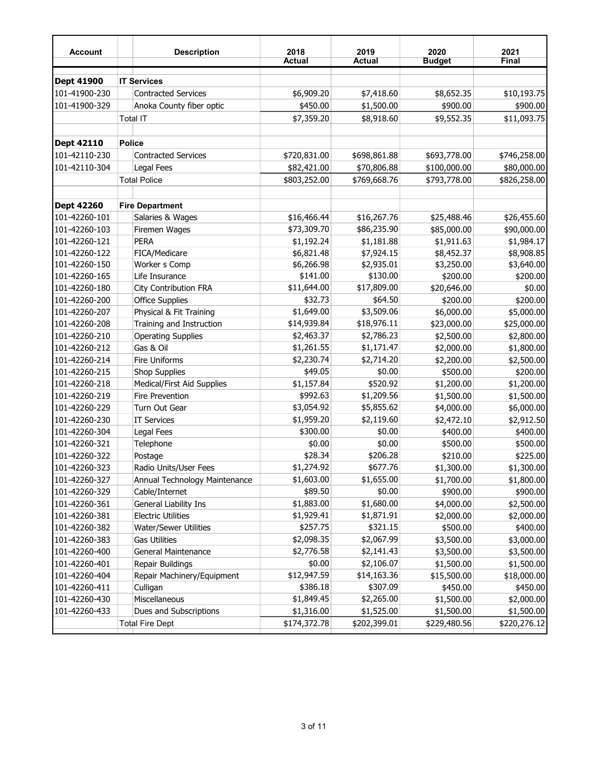| <b>Account</b>    |               | <b>Description</b>            | 2018<br><b>Actual</b> | 2019<br><b>Actual</b> | 2020<br><b>Budget</b> | 2021<br>Final |
|-------------------|---------------|-------------------------------|-----------------------|-----------------------|-----------------------|---------------|
| <b>Dept 41900</b> |               | <b>IT Services</b>            |                       |                       |                       |               |
| 101-41900-230     |               | <b>Contracted Services</b>    | \$6,909.20            | \$7,418.60            | \$8,652.35            | \$10,193.75   |
| 101-41900-329     |               | Anoka County fiber optic      | \$450.00              | \$1,500.00            | \$900.00              | \$900.00      |
|                   | Total IT      |                               | \$7,359.20            | \$8,918.60            | \$9,552.35            | \$11,093.75   |
|                   |               |                               |                       |                       |                       |               |
| <b>Dept 42110</b> | <b>Police</b> |                               |                       |                       |                       |               |
| 101-42110-230     |               | <b>Contracted Services</b>    | \$720,831.00          | \$698,861.88          | \$693,778.00          | \$746,258.00  |
| 101-42110-304     |               | Legal Fees                    | \$82,421.00           | \$70,806.88           | \$100,000.00          | \$80,000.00   |
|                   |               | <b>Total Police</b>           | \$803,252.00          | \$769,668.76          | \$793,778.00          | \$826,258.00  |
| <b>Dept 42260</b> |               | <b>Fire Department</b>        |                       |                       |                       |               |
| 101-42260-101     |               | Salaries & Wages              | \$16,466.44           | \$16,267.76           | \$25,488.46           | \$26,455.60   |
| 101-42260-103     |               | Firemen Wages                 | \$73,309.70           | \$86,235.90           | \$85,000.00           | \$90,000.00   |
| 101-42260-121     |               | <b>PERA</b>                   | \$1,192.24            | \$1,181.88            | \$1,911.63            | \$1,984.17    |
| 101-42260-122     |               | FICA/Medicare                 | \$6,821.48            | \$7,924.15            | \$8,452.37            | \$8,908.85    |
| 101-42260-150     |               | Worker s Comp                 | \$6,266.98            | \$2,935.01            | \$3,250.00            | \$3,640.00    |
| 101-42260-165     |               | Life Insurance                | \$141.00              | \$130.00              | \$200.00              | \$200.00      |
| 101-42260-180     |               | City Contribution FRA         | \$11,644.00           | \$17,809.00           | \$20,646.00           | \$0.00        |
| 101-42260-200     |               | <b>Office Supplies</b>        | \$32.73               | \$64.50               | \$200.00              | \$200.00      |
| 101-42260-207     |               | Physical & Fit Training       | \$1,649.00            | \$3,509.06            | \$6,000.00            | \$5,000.00    |
| 101-42260-208     |               | Training and Instruction      | \$14,939.84           | \$18,976.11           | \$23,000.00           | \$25,000.00   |
| 101-42260-210     |               | <b>Operating Supplies</b>     | \$2,463.37            | \$2,786.23            | \$2,500.00            | \$2,800.00    |
| 101-42260-212     |               | Gas & Oil                     | \$1,261.55            | \$1,171.47            | \$2,000.00            | \$1,800.00    |
| 101-42260-214     |               | <b>Fire Uniforms</b>          | \$2,230.74            | \$2,714.20            | \$2,200.00            | \$2,500.00    |
| 101-42260-215     |               | <b>Shop Supplies</b>          | \$49.05               | \$0.00                | \$500.00              | \$200.00      |
| 101-42260-218     |               | Medical/First Aid Supplies    | \$1,157.84            | \$520.92              | \$1,200.00            | \$1,200.00    |
| 101-42260-219     |               | Fire Prevention               | \$992.63              | \$1,209.56            | \$1,500.00            | \$1,500.00    |
| 101-42260-229     |               | Turn Out Gear                 | \$3,054.92            | \$5,855.62            | \$4,000.00            | \$6,000.00    |
| 101-42260-230     |               | <b>IT Services</b>            | \$1,959.20            | \$2,119.60            | \$2,472.10            | \$2,912.50    |
| 101-42260-304     |               | Legal Fees                    | \$300.00              | \$0.00                | \$400.00              | \$400.00      |
| 101-42260-321     |               | Telephone                     | \$0.00                | \$0.00                | \$500.00              | \$500.00      |
| 101-42260-322     |               | Postage                       | \$28.34               | \$206.28              | \$210.00              | \$225.00      |
| 101-42260-323     |               | Radio Units/User Fees         | \$1,274.92            | \$677.76              | \$1,300.00            | \$1,300.00    |
| 101-42260-327     |               | Annual Technology Maintenance | \$1,603.00            | \$1,655.00            | \$1,700.00            | \$1,800.00    |
| 101-42260-329     |               | Cable/Internet                | \$89.50               | \$0.00                | \$900.00              | \$900.00      |
| 101-42260-361     |               | General Liability Ins         | \$1,883.00            | \$1,680.00            | \$4,000.00            | \$2,500.00    |
| 101-42260-381     |               | <b>Electric Utilities</b>     | \$1,929.41            | \$1,871.91            | \$2,000.00            | \$2,000.00    |
| 101-42260-382     |               | Water/Sewer Utilities         | \$257.75              | \$321.15              | \$500.00              | \$400.00      |
| 101-42260-383     |               | <b>Gas Utilities</b>          | \$2,098.35            | \$2,067.99            | \$3,500.00            | \$3,000.00    |
| 101-42260-400     |               | General Maintenance           | \$2,776.58            | \$2,141.43            | \$3,500.00            | \$3,500.00    |
| 101-42260-401     |               | Repair Buildings              | \$0.00                | \$2,106.07            | \$1,500.00            | \$1,500.00    |
| 101-42260-404     |               | Repair Machinery/Equipment    | \$12,947.59           | \$14,163.36           | \$15,500.00           | \$18,000.00   |
| 101-42260-411     |               | Culligan                      | \$386.18              | \$307.09              | \$450.00              | \$450.00      |
| 101-42260-430     |               | Miscellaneous                 | \$1,849.45            | \$2,265.00            | \$1,500.00            | \$2,000.00    |
| 101-42260-433     |               | Dues and Subscriptions        | \$1,316.00            | \$1,525.00            | \$1,500.00            | \$1,500.00    |
|                   |               | <b>Total Fire Dept</b>        | \$174,372.78          | \$202,399.01          | \$229,480.56          | \$220,276.12  |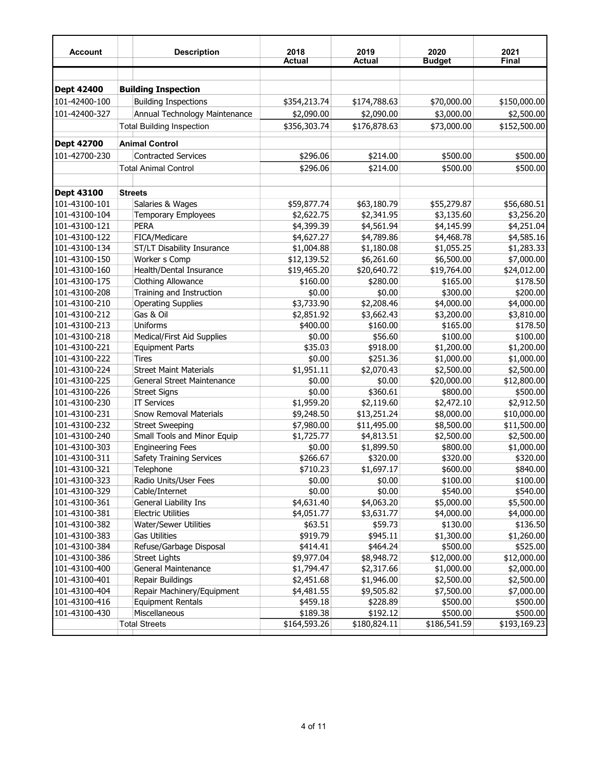| <b>Account</b>    | <b>Description</b>               | 2018<br><b>Actual</b> | 2019<br><b>Actual</b> | 2020<br><b>Budget</b> | 2021<br>Final |
|-------------------|----------------------------------|-----------------------|-----------------------|-----------------------|---------------|
|                   |                                  |                       |                       |                       |               |
| Dept 42400        | <b>Building Inspection</b>       |                       |                       |                       |               |
| 101-42400-100     | <b>Building Inspections</b>      | \$354,213.74          | \$174,788.63          | \$70,000.00           | \$150,000.00  |
| 101-42400-327     | Annual Technology Maintenance    | \$2,090.00            | \$2,090.00            | \$3,000.00            | \$2,500.00    |
|                   | <b>Total Building Inspection</b> | \$356,303.74          | \$176,878.63          | \$73,000.00           | \$152,500.00  |
|                   |                                  |                       |                       |                       |               |
| <b>Dept 42700</b> | <b>Animal Control</b>            |                       |                       |                       |               |
| 101-42700-230     | <b>Contracted Services</b>       | \$296.06              | \$214.00              | \$500.00              | \$500.00      |
|                   | <b>Total Animal Control</b>      | \$296.06              | \$214.00              | \$500.00              | \$500.00      |
|                   |                                  |                       |                       |                       |               |
| Dept 43100        | <b>Streets</b>                   |                       |                       |                       |               |
| 101-43100-101     | Salaries & Wages                 | \$59,877.74           | \$63,180.79           | \$55,279.87           | \$56,680.51   |
| 101-43100-104     | <b>Temporary Employees</b>       | \$2,622.75            | \$2,341.95            | \$3,135.60            | \$3,256.20    |
| 101-43100-121     | <b>PERA</b>                      | \$4,399.39            | \$4,561.94            | \$4,145.99            | \$4,251.04    |
| 101-43100-122     | FICA/Medicare                    | \$4,627.27            | \$4,789.86            | \$4,468.78            | \$4,585.16    |
| 101-43100-134     | ST/LT Disability Insurance       | \$1,004.88            | \$1,180.08            | \$1,055.25            | \$1,283.33    |
| 101-43100-150     | Worker s Comp                    | \$12,139.52           | \$6,261.60            | \$6,500.00            | \$7,000.00    |
| 101-43100-160     | Health/Dental Insurance          | \$19,465.20           | \$20,640.72           | \$19,764.00           | \$24,012.00   |
| 101-43100-175     | <b>Clothing Allowance</b>        | \$160.00              | \$280.00              | \$165.00              | \$178.50      |
| 101-43100-208     | Training and Instruction         | \$0.00                | \$0.00                | \$300.00              | \$200.00      |
| 101-43100-210     | <b>Operating Supplies</b>        | \$3,733.90            | \$2,208.46            | \$4,000.00            | \$4,000.00    |
| 101-43100-212     | Gas & Oil                        | \$2,851.92            | \$3,662.43            | \$3,200.00            | \$3,810.00    |
| 101-43100-213     | Uniforms                         | \$400.00              | \$160.00              | \$165.00              | \$178.50      |
| 101-43100-218     | Medical/First Aid Supplies       | \$0.00                | \$56.60               | \$100.00              | \$100.00      |
| 101-43100-221     | <b>Equipment Parts</b>           | \$35.03               | \$918.00              | \$1,200.00            | \$1,200.00    |
| 101-43100-222     | <b>Tires</b>                     | \$0.00                | \$251.36              | \$1,000.00            | \$1,000.00    |
| 101-43100-224     | <b>Street Maint Materials</b>    | \$1,951.11            | \$2,070.43            | \$2,500.00            | \$2,500.00    |
| 101-43100-225     | General Street Maintenance       | \$0.00                | \$0.00                | \$20,000.00           | \$12,800.00   |
| 101-43100-226     | <b>Street Signs</b>              | \$0.00                | \$360.61              | \$800.00              | \$500.00      |
| 101-43100-230     | <b>IT Services</b>               | \$1,959.20            | \$2,119.60            | \$2,472.10            | \$2,912.50    |
| 101-43100-231     | <b>Snow Removal Materials</b>    | \$9,248.50            | \$13,251.24           | \$8,000.00            | \$10,000.00   |
| 101-43100-232     | <b>Street Sweeping</b>           | \$7,980.00            | \$11,495.00           | \$8,500.00            | \$11,500.00   |
| 101-43100-240     | Small Tools and Minor Equip      | \$1,725.77            | \$4,813.51            | \$2,500.00            | \$2,500.00    |
| 101-43100-303     | <b>Engineering Fees</b>          | \$0.00                | \$1,899.50            | \$800.00              | \$1,000.00    |
| 101-43100-311     | <b>Safety Training Services</b>  | \$266.67              | \$320.00              | \$320.00              | \$320.00      |
| 101-43100-321     | Telephone                        | \$710.23              | \$1,697.17            | \$600.00              | \$840.00      |
| 101-43100-323     | Radio Units/User Fees            | \$0.00                | \$0.00                | \$100.00              | \$100.00      |
| 101-43100-329     | Cable/Internet                   | \$0.00                | \$0.00                | \$540.00              | \$540.00      |
| 101-43100-361     | General Liability Ins            | \$4,631.40            | \$4,063.20            | \$5,000.00            | \$5,500.00    |
| 101-43100-381     | <b>Electric Utilities</b>        | \$4,051.77            | \$3,631.77            | \$4,000.00            | \$4,000.00    |
| 101-43100-382     | Water/Sewer Utilities            | \$63.51               | \$59.73               | \$130.00              | \$136.50      |
| 101-43100-383     | <b>Gas Utilities</b>             | \$919.79              | \$945.11              | \$1,300.00            | \$1,260.00    |
| 101-43100-384     | Refuse/Garbage Disposal          | \$414.41              | \$464.24              | \$500.00              | \$525.00      |
| 101-43100-386     | <b>Street Lights</b>             | \$9,977.04            | \$8,948.72            | \$12,000.00           | \$12,000.00   |
| 101-43100-400     | General Maintenance              | \$1,794.47            | \$2,317.66            | \$1,000.00            | \$2,000.00    |
| 101-43100-401     | Repair Buildings                 | \$2,451.68            | \$1,946.00            | \$2,500.00            | \$2,500.00    |
| 101-43100-404     | Repair Machinery/Equipment       | \$4,481.55            | \$9,505.82            | \$7,500.00            | \$7,000.00    |
| 101-43100-416     | <b>Equipment Rentals</b>         | \$459.18              | \$228.89              | \$500.00              | \$500.00      |
| 101-43100-430     | Miscellaneous                    | \$189.38              | \$192.12              | \$500.00              | \$500.00      |
|                   | <b>Total Streets</b>             | \$164,593.26          | \$180,824.11          | \$186,541.59          | \$193,169.23  |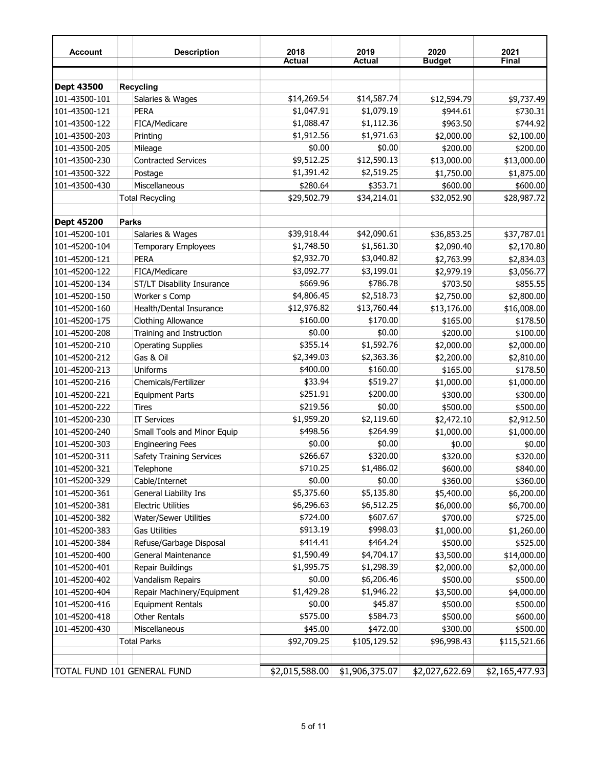| <b>Account</b> | <b>Description</b>              | 2018<br><b>Actual</b> | 2019<br><b>Actual</b>         | 2020<br><b>Budget</b> | 2021<br>Final  |
|----------------|---------------------------------|-----------------------|-------------------------------|-----------------------|----------------|
|                |                                 |                       |                               |                       |                |
| Dept 43500     | <b>Recycling</b>                |                       |                               |                       |                |
| 101-43500-101  | Salaries & Wages                | \$14,269.54           | \$14,587.74                   | \$12,594.79           | \$9,737.49     |
| 101-43500-121  | <b>PERA</b>                     | \$1,047.91            | \$1,079.19                    | \$944.61              | \$730.31       |
| 101-43500-122  | FICA/Medicare                   | \$1,088.47            | \$1,112.36                    | \$963.50              | \$744.92       |
| 101-43500-203  | Printing                        | \$1,912.56            | \$1,971.63                    | \$2,000.00            | \$2,100.00     |
| 101-43500-205  | Mileage                         | \$0.00                | \$0.00                        | \$200.00              | \$200.00       |
| 101-43500-230  | <b>Contracted Services</b>      | \$9,512.25            | \$12,590.13                   | \$13,000.00           | \$13,000.00    |
| 101-43500-322  | Postage                         | \$1,391.42            | \$2,519.25                    | \$1,750.00            | \$1,875.00     |
| 101-43500-430  | Miscellaneous                   | \$280.64              | \$353.71                      | \$600.00              | \$600.00       |
|                | <b>Total Recycling</b>          | \$29,502.79           | \$34,214.01                   | \$32,052.90           | \$28,987.72    |
|                |                                 |                       |                               |                       |                |
| Dept 45200     | <b>Parks</b>                    |                       |                               |                       |                |
| 101-45200-101  | Salaries & Wages                | \$39,918.44           | \$42,090.61                   | \$36,853.25           | \$37,787.01    |
| 101-45200-104  | Temporary Employees             | \$1,748.50            | \$1,561.30                    | \$2,090.40            | \$2,170.80     |
| 101-45200-121  | <b>PERA</b>                     | \$2,932.70            | \$3,040.82                    | \$2,763.99            | \$2,834.03     |
| 101-45200-122  | FICA/Medicare                   | \$3,092.77            | \$3,199.01                    | \$2,979.19            | \$3,056.77     |
| 101-45200-134  | ST/LT Disability Insurance      | \$669.96              | \$786.78                      | \$703.50              | \$855.55       |
| 101-45200-150  | Worker s Comp                   | \$4,806.45            | \$2,518.73                    | \$2,750.00            | \$2,800.00     |
| 101-45200-160  | Health/Dental Insurance         | \$12,976.82           | \$13,760.44                   | \$13,176.00           | \$16,008.00    |
| 101-45200-175  | <b>Clothing Allowance</b>       | \$160.00              | \$170.00                      | \$165.00              | \$178.50       |
| 101-45200-208  | Training and Instruction        | \$0.00                | \$0.00                        | \$200.00              | \$100.00       |
| 101-45200-210  | <b>Operating Supplies</b>       | \$355.14              | \$1,592.76                    | \$2,000.00            | \$2,000.00     |
| 101-45200-212  | Gas & Oil                       | \$2,349.03            | \$2,363.36                    | \$2,200.00            | \$2,810.00     |
| 101-45200-213  | Uniforms                        | \$400.00              | \$160.00                      | \$165.00              | \$178.50       |
| 101-45200-216  | Chemicals/Fertilizer            | \$33.94               | \$519.27                      | \$1,000.00            | \$1,000.00     |
| 101-45200-221  | <b>Equipment Parts</b>          | \$251.91              | \$200.00                      | \$300.00              | \$300.00       |
| 101-45200-222  | <b>Tires</b>                    | \$219.56              | \$0.00                        | \$500.00              | \$500.00       |
| 101-45200-230  | <b>IT Services</b>              | \$1,959.20            | \$2,119.60                    | \$2,472.10            | \$2,912.50     |
| 101-45200-240  | Small Tools and Minor Equip     | \$498.56              | \$264.99                      | \$1,000.00            | \$1,000.00     |
| 101-45200-303  | <b>Engineering Fees</b>         | \$0.00                | \$0.00                        | \$0.00                | \$0.00         |
| 101-45200-311  | <b>Safety Training Services</b> | \$266.67              | \$320.00                      | \$320.00              | \$320.00       |
| 101-45200-321  | Telephone                       | \$710.25              | \$1,486.02                    | \$600.00              | \$840.00       |
| 101-45200-329  | Cable/Internet                  | \$0.00                | \$0.00                        | \$360.00              | \$360.00       |
| 101-45200-361  | General Liability Ins           | \$5,375.60            | \$5,135.80                    | \$5,400.00            | \$6,200.00     |
| 101-45200-381  | <b>Electric Utilities</b>       | \$6,296.63            | \$6,512.25                    | \$6,000.00            | \$6,700.00     |
| 101-45200-382  | Water/Sewer Utilities           | \$724.00              | \$607.67                      | \$700.00              | \$725.00       |
| 101-45200-383  | <b>Gas Utilities</b>            | \$913.19              | \$998.03                      | \$1,000.00            | \$1,260.00     |
| 101-45200-384  | Refuse/Garbage Disposal         | \$414.41              | \$464.24                      | \$500.00              | \$525.00       |
| 101-45200-400  | General Maintenance             | \$1,590.49            | \$4,704.17                    | \$3,500.00            | \$14,000.00    |
| 101-45200-401  | Repair Buildings                | \$1,995.75            | \$1,298.39                    | \$2,000.00            | \$2,000.00     |
|                |                                 | \$0.00                | \$6,206.46                    |                       |                |
| 101-45200-402  | Vandalism Repairs               | \$1,429.28            | \$1,946.22                    | \$500.00              | \$500.00       |
| 101-45200-404  | Repair Machinery/Equipment      |                       |                               | \$3,500.00            | \$4,000.00     |
| 101-45200-416  | <b>Equipment Rentals</b>        | \$0.00                | \$45.87                       | \$500.00              | \$500.00       |
| 101-45200-418  | <b>Other Rentals</b>            | \$575.00              | \$584.73                      | \$500.00              | \$600.00       |
| 101-45200-430  | Miscellaneous                   | \$45.00               | \$472.00                      | \$300.00              | \$500.00       |
|                | <b>Total Parks</b>              | \$92,709.25           | \$105,129.52                  | \$96,998.43           | \$115,521.66   |
|                |                                 |                       |                               |                       |                |
|                | TOTAL FUND 101 GENERAL FUND     |                       | \$2,015,588.00 \$1,906,375.07 | \$2,027,622.69        | \$2,165,477.93 |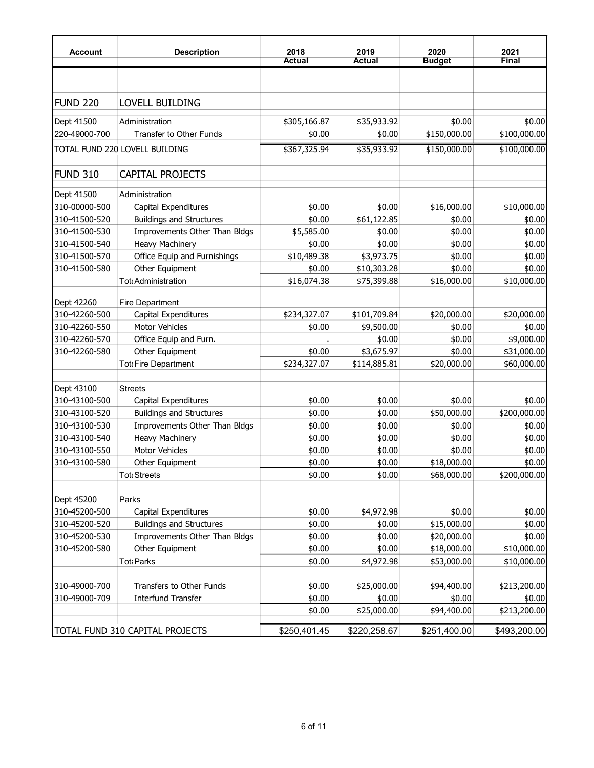| Account                        |       | <b>Description</b>                               | 2018<br><b>Actual</b> | 2019<br><b>Actual</b> | 2020<br><b>Budget</b>      | 2021<br>Final              |
|--------------------------------|-------|--------------------------------------------------|-----------------------|-----------------------|----------------------------|----------------------------|
|                                |       |                                                  |                       |                       |                            |                            |
| FUND <sub>220</sub>            |       | <b>LOVELL BUILDING</b>                           |                       |                       |                            |                            |
| Dept 41500                     |       | Administration                                   | \$305,166.87          | \$35,933.92           | \$0.00                     | \$0.00                     |
| 220-49000-700                  |       | Transfer to Other Funds                          | \$0.00                | \$0.00                | \$150,000.00               | \$100,000.00               |
| TOTAL FUND 220 LOVELL BUILDING |       |                                                  | \$367,325.94          | \$35,933.92           | \$150,000.00               | \$100,000.00               |
| FUND 310                       |       | <b>CAPITAL PROJECTS</b>                          |                       |                       |                            |                            |
| Dept 41500                     |       | Administration                                   |                       |                       |                            |                            |
| 310-00000-500                  |       | Capital Expenditures                             | \$0.00                | \$0.00                | \$16,000.00                | \$10,000.00                |
| 310-41500-520                  |       | <b>Buildings and Structures</b>                  | \$0.00                | \$61,122.85           | \$0.00                     | \$0.00                     |
| 310-41500-530                  |       | Improvements Other Than Bldgs                    | \$5,585.00            | \$0.00                | \$0.00                     | \$0.00                     |
| 310-41500-540                  |       | <b>Heavy Machinery</b>                           | \$0.00                | \$0.00                | \$0.00                     | \$0.00                     |
| 310-41500-570                  |       | Office Equip and Furnishings                     | \$10,489.38           | \$3,973.75            | \$0.00                     | \$0.00                     |
| 310-41500-580                  |       | Other Equipment                                  | \$0.00                | \$10,303.28           | \$0.00                     | \$0.00                     |
|                                |       | Tot Administration                               | \$16,074.38           | \$75,399.88           | \$16,000.00                | \$10,000.00                |
| Dept 42260                     |       | <b>Fire Department</b>                           |                       |                       |                            |                            |
| 310-42260-500                  |       | Capital Expenditures                             | \$234,327.07          | \$101,709.84          | \$20,000.00                | \$20,000.00                |
| 310-42260-550                  |       | <b>Motor Vehicles</b>                            | \$0.00                | \$9,500.00            | \$0.00                     | \$0.00                     |
| 310-42260-570                  |       | Office Equip and Furn.                           |                       | \$0.00                | \$0.00                     | \$9,000.00                 |
| 310-42260-580                  |       | Other Equipment                                  | \$0.00                | \$3,675.97            | \$0.00                     | \$31,000.00                |
|                                |       | Tot Fire Department                              | \$234,327.07          | \$114,885.81          | \$20,000.00                | \$60,000.00                |
| Dept 43100                     |       | <b>Streets</b>                                   |                       |                       |                            |                            |
| 310-43100-500                  |       | Capital Expenditures                             | \$0.00                | \$0.00                | \$0.00                     | \$0.00                     |
| 310-43100-520                  |       | <b>Buildings and Structures</b>                  | \$0.00                | \$0.00                | \$50,000.00                | \$200,000.00               |
| 310-43100-530                  |       | Improvements Other Than Bldgs                    | \$0.00                | \$0.00                | \$0.00                     | \$0.00                     |
| 310-43100-540                  |       | <b>Heavy Machinery</b>                           | \$0.00                | \$0.00                | \$0.00                     | \$0.00                     |
| 310-43100-550                  |       | <b>Motor Vehicles</b>                            | \$0.00                | \$0.00                | \$0.00                     | \$0.00                     |
| 310-43100-580                  |       | Other Equipment                                  | \$0.00                | \$0.00                | \$18,000.00                | \$0.00                     |
|                                |       | <b>Toti Streets</b>                              | \$0.00                | \$0.00                | \$68,000.00                | \$200,000.00               |
|                                |       |                                                  |                       |                       |                            |                            |
| Dept 45200                     | Parks |                                                  |                       |                       |                            |                            |
| 310-45200-500                  |       | Capital Expenditures                             | \$0.00                | \$4,972.98            | \$0.00                     | \$0.00                     |
| 310-45200-520                  |       | <b>Buildings and Structures</b>                  | \$0.00                | \$0.00                | \$15,000.00                | \$0.00                     |
| 310-45200-530                  |       | Improvements Other Than Bldgs<br>Other Equipment | \$0.00                | \$0.00                | \$20,000.00                | \$0.00                     |
| 310-45200-580                  |       | Tot Parks                                        | \$0.00<br>\$0.00      | \$0.00<br>\$4,972.98  | \$18,000.00<br>\$53,000.00 | \$10,000.00<br>\$10,000.00 |
|                                |       |                                                  |                       |                       |                            |                            |
| 310-49000-700                  |       | Transfers to Other Funds                         | \$0.00                | \$25,000.00           | \$94,400.00                | \$213,200.00               |
| 310-49000-709                  |       | <b>Interfund Transfer</b>                        | \$0.00<br>\$0.00      | \$0.00<br>\$25,000.00 | \$0.00<br>\$94,400.00      | \$0.00<br>\$213,200.00     |
|                                |       |                                                  |                       |                       |                            |                            |
|                                |       | TOTAL FUND 310 CAPITAL PROJECTS                  | \$250,401.45          | \$220,258.67          | \$251,400.00               | \$493,200.00               |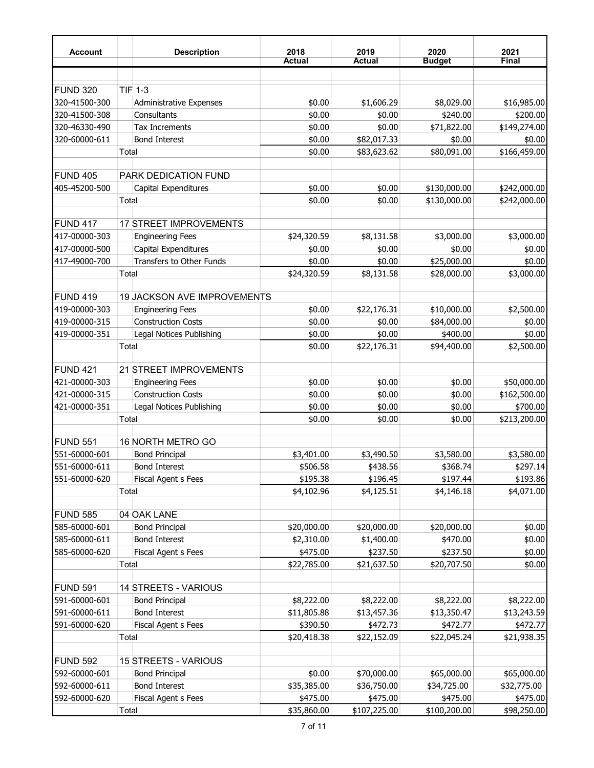| <b>Account</b>  |       | <b>Description</b>             | 2018<br><b>Actual</b> | 2019<br><b>Actual</b> | 2020<br><b>Budget</b> | 2021<br>Final |
|-----------------|-------|--------------------------------|-----------------------|-----------------------|-----------------------|---------------|
|                 |       |                                |                       |                       |                       |               |
| FUND 320        |       | <b>TIF 1-3</b>                 |                       |                       |                       |               |
| 320-41500-300   |       | <b>Administrative Expenses</b> | \$0.00                | \$1,606.29            | \$8,029.00            | \$16,985.00   |
| 320-41500-308   |       | Consultants                    | \$0.00                | \$0.00                | \$240.00              | \$200.00      |
| 320-46330-490   |       | <b>Tax Increments</b>          | \$0.00                | \$0.00                | \$71,822.00           | \$149,274.00  |
| 320-60000-611   |       | <b>Bond Interest</b>           | \$0.00                | \$82,017.33           | \$0.00                | \$0.00        |
|                 | Total |                                | \$0.00                | \$83,623.62           | \$80,091.00           | \$166,459.00  |
|                 |       |                                |                       |                       |                       |               |
| <b>FUND 405</b> |       | PARK DEDICATION FUND           |                       |                       |                       |               |
| 405-45200-500   |       | Capital Expenditures           | \$0.00                | \$0.00                | \$130,000.00          | \$242,000.00  |
|                 | Total |                                | \$0.00                | \$0.00                | \$130,000.00          | \$242,000.00  |
| <b>FUND 417</b> |       | <b>17 STREET IMPROVEMENTS</b>  |                       |                       |                       |               |
| 417-00000-303   |       | <b>Engineering Fees</b>        | \$24,320.59           | \$8,131.58            | \$3,000.00            | \$3,000.00    |
| 417-00000-500   |       | Capital Expenditures           | \$0.00                | \$0.00                | \$0.00                | \$0.00        |
| 417-49000-700   |       | Transfers to Other Funds       | \$0.00                | \$0.00                | \$25,000.00           | \$0.00        |
|                 | Total |                                | \$24,320.59           | \$8,131.58            | \$28,000.00           | \$3,000.00    |
|                 |       |                                |                       |                       |                       |               |
| FUND 419        |       | 19 JACKSON AVE IMPROVEMENTS    |                       |                       |                       |               |
| 419-00000-303   |       | <b>Engineering Fees</b>        | \$0.00                | \$22,176.31           | \$10,000.00           | \$2,500.00    |
| 419-00000-315   |       | <b>Construction Costs</b>      | \$0.00                | \$0.00                | \$84,000.00           | \$0.00        |
| 419-00000-351   |       | Legal Notices Publishing       | \$0.00                | \$0.00                | \$400.00              | \$0.00        |
|                 | Total |                                | \$0.00                | \$22,176.31           | \$94,400.00           | \$2,500.00    |
| FUND 421        |       | 21 STREET IMPROVEMENTS         |                       |                       |                       |               |
| 421-00000-303   |       | <b>Engineering Fees</b>        | \$0.00                | \$0.00                | \$0.00                | \$50,000.00   |
| 421-00000-315   |       | <b>Construction Costs</b>      | \$0.00                | \$0.00                | \$0.00                | \$162,500.00  |
| 421-00000-351   |       | Legal Notices Publishing       | \$0.00                | \$0.00                | \$0.00                | \$700.00      |
|                 | Total |                                | \$0.00                | \$0.00                | \$0.00                | \$213,200.00  |
|                 |       |                                |                       |                       |                       |               |
| <b>FUND 551</b> |       | 16 NORTH METRO GO              |                       |                       |                       |               |
| 551-60000-601   |       | <b>Bond Principal</b>          | \$3,401.00            | \$3,490.50            | \$3,580.00            | \$3,580.00    |
| 551-60000-611   |       | <b>Bond Interest</b>           | \$506.58              | \$438.56              | \$368.74              | \$297.14      |
| 551-60000-620   |       | Fiscal Agent s Fees            | \$195.38              | \$196.45              | \$197.44              | \$193.86      |
|                 | Total |                                | \$4,102.96            | \$4,125.51            | \$4,146.18            | \$4,071.00    |
| <b>FUND 585</b> |       | 04 OAK LANE                    |                       |                       |                       |               |
| 585-60000-601   |       | <b>Bond Principal</b>          | \$20,000.00           | \$20,000.00           | \$20,000.00           | \$0.00        |
| 585-60000-611   |       | <b>Bond Interest</b>           | \$2,310.00            | \$1,400.00            | \$470.00              | \$0.00        |
| 585-60000-620   |       | Fiscal Agent s Fees            | \$475.00              | \$237.50              | \$237.50              | \$0.00        |
|                 | Total |                                | \$22,785.00           | \$21,637.50           | \$20,707.50           | \$0.00        |
|                 |       |                                |                       |                       |                       |               |
| FUND 591        |       | 14 STREETS - VARIOUS           |                       |                       |                       |               |
| 591-60000-601   |       | <b>Bond Principal</b>          | \$8,222.00            | \$8,222.00            | \$8,222.00            | \$8,222.00    |
| 591-60000-611   |       | <b>Bond Interest</b>           | \$11,805.88           | \$13,457.36           | \$13,350.47           | \$13,243.59   |
| 591-60000-620   |       | Fiscal Agent s Fees            | \$390.50              | \$472.73              | \$472.77              | \$472.77      |
|                 | Total |                                | \$20,418.38           | \$22,152.09           | \$22,045.24           | \$21,938.35   |
| FUND 592        |       | 15 STREETS - VARIOUS           |                       |                       |                       |               |
| 592-60000-601   |       | <b>Bond Principal</b>          | \$0.00                | \$70,000.00           | \$65,000.00           | \$65,000.00   |
| 592-60000-611   |       | <b>Bond Interest</b>           | \$35,385.00           | \$36,750.00           | \$34,725.00           | \$32,775.00   |
| 592-60000-620   |       | Fiscal Agent s Fees            | \$475.00              | \$475.00              | \$475.00              | \$475.00      |
|                 | Total |                                | \$35,860.00           | \$107,225.00          | \$100,200.00          | \$98,250.00   |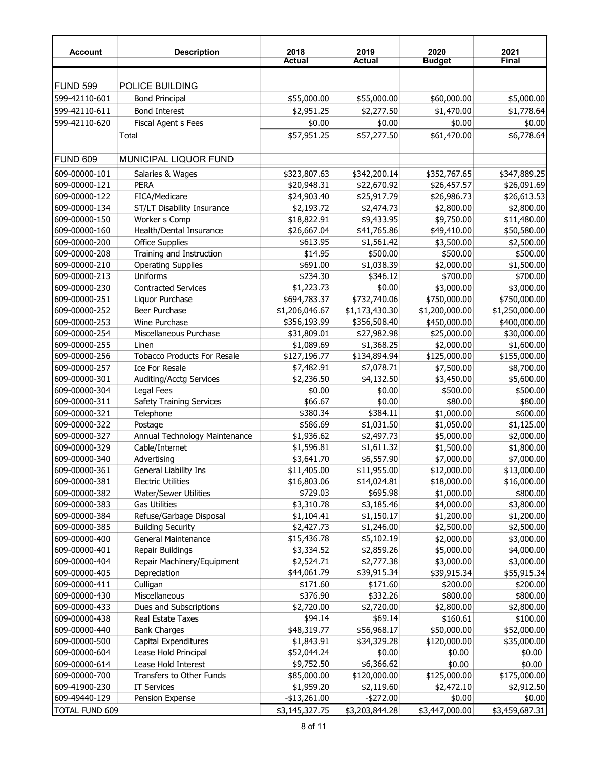| <b>Account</b>        |       | <b>Description</b>                 | 2018<br>Actual | 2019<br>Actual | 2020<br><b>Budget</b> | 2021<br>Final  |
|-----------------------|-------|------------------------------------|----------------|----------------|-----------------------|----------------|
|                       |       |                                    |                |                |                       |                |
| <b>FUND 599</b>       |       | POLICE BUILDING                    |                |                |                       |                |
| 599-42110-601         |       | <b>Bond Principal</b>              | \$55,000.00    | \$55,000.00    | \$60,000.00           | \$5,000.00     |
| 599-42110-611         |       | <b>Bond Interest</b>               | \$2,951.25     | \$2,277.50     | \$1,470.00            | \$1,778.64     |
| 599-42110-620         |       | Fiscal Agent s Fees                | \$0.00         | \$0.00         | \$0.00                | \$0.00         |
|                       | Total |                                    | \$57,951.25    | \$57,277.50    | \$61,470.00           | \$6,778.64     |
| FUND 609              |       | <b>MUNICIPAL LIQUOR FUND</b>       |                |                |                       |                |
| 609-00000-101         |       | Salaries & Wages                   | \$323,807.63   | \$342,200.14   | \$352,767.65          | \$347,889.25   |
| 609-00000-121         |       | <b>PERA</b>                        | \$20,948.31    | \$22,670.92    | \$26,457.57           | \$26,091.69    |
| 609-00000-122         |       | FICA/Medicare                      | \$24,903.40    | \$25,917.79    | \$26,986.73           | \$26,613.53    |
| 609-00000-134         |       | ST/LT Disability Insurance         | \$2,193.72     | \$2,474.73     | \$2,800.00            | \$2,800.00     |
| 609-00000-150         |       | Worker s Comp                      | \$18,822.91    | \$9,433.95     | \$9,750.00            | \$11,480.00    |
| 609-00000-160         |       | Health/Dental Insurance            | \$26,667.04    | \$41,765.86    | \$49,410.00           | \$50,580.00    |
| 609-00000-200         |       | <b>Office Supplies</b>             | \$613.95       | \$1,561.42     | \$3,500.00            | \$2,500.00     |
| 609-00000-208         |       | Training and Instruction           | \$14.95        | \$500.00       | \$500.00              | \$500.00       |
| 609-00000-210         |       | <b>Operating Supplies</b>          | \$691.00       | \$1,038.39     | \$2,000.00            | \$1,500.00     |
| 609-00000-213         |       | Uniforms                           | \$234.30       | \$346.12       | \$700.00              | \$700.00       |
| 609-00000-230         |       | <b>Contracted Services</b>         | \$1,223.73     | \$0.00         | \$3,000.00            | \$3,000.00     |
| 609-00000-251         |       | Liquor Purchase                    | \$694,783.37   | \$732,740.06   | \$750,000.00          | \$750,000.00   |
| 609-00000-252         |       | Beer Purchase                      | \$1,206,046.67 | \$1,173,430.30 | \$1,200,000.00        | \$1,250,000.00 |
| 609-00000-253         |       | Wine Purchase                      | \$356,193.99   | \$356,508.40   | \$450,000.00          | \$400,000.00   |
| 609-00000-254         |       | Miscellaneous Purchase             | \$31,809.01    | \$27,982.98    | \$25,000.00           | \$30,000.00    |
| 609-00000-255         |       | Linen                              | \$1,089.69     | \$1,368.25     | \$2,000.00            | \$1,600.00     |
| 609-00000-256         |       | <b>Tobacco Products For Resale</b> | \$127,196.77   | \$134,894.94   | \$125,000.00          | \$155,000.00   |
| 609-00000-257         |       | <b>Ice For Resale</b>              | \$7,482.91     | \$7,078.71     | \$7,500.00            | \$8,700.00     |
| 609-00000-301         |       | Auditing/Acctg Services            | \$2,236.50     | \$4,132.50     | \$3,450.00            | \$5,600.00     |
| 609-00000-304         |       | Legal Fees                         | \$0.00         | \$0.00         | \$500.00              | \$500.00       |
| 609-00000-311         |       | <b>Safety Training Services</b>    | \$66.67        | \$0.00         | \$80.00               | \$80.00        |
| 609-00000-321         |       | Telephone                          | \$380.34       | \$384.11       | \$1,000.00            | \$600.00       |
| 609-00000-322         |       | Postage                            | \$586.69       | \$1,031.50     | \$1,050.00            | \$1,125.00     |
| 609-00000-327         |       | Annual Technology Maintenance      | \$1,936.62     | \$2,497.73     | \$5,000.00            | \$2,000.00     |
| 609-00000-329         |       | Cable/Internet                     | \$1,596.81     | \$1,611.32     | \$1,500.00            | \$1,800.00     |
| 609-00000-340         |       | Advertising                        | \$3,641.70     | \$6,557.90     | \$7,000.00            | \$7,000.00     |
| 609-00000-361         |       | General Liability Ins              | \$11,405.00    | \$11,955.00    | \$12,000.00           | \$13,000.00    |
| 609-00000-381         |       | <b>Electric Utilities</b>          | \$16,803.06    | \$14,024.81    | \$18,000.00           | \$16,000.00    |
| 609-00000-382         |       | <b>Water/Sewer Utilities</b>       | \$729.03       | \$695.98       | \$1,000.00            | \$800.00       |
| 609-00000-383         |       | <b>Gas Utilities</b>               | \$3,310.78     | \$3,185.46     | \$4,000.00            | \$3,800.00     |
| 609-00000-384         |       | Refuse/Garbage Disposal            | \$1,104.41     | \$1,150.17     | \$1,200.00            | \$1,200.00     |
| 609-00000-385         |       | <b>Building Security</b>           | \$2,427.73     | \$1,246.00     | \$2,500.00            |                |
| 609-00000-400         |       | General Maintenance                | \$15,436.78    |                |                       | \$2,500.00     |
| 609-00000-401         |       | Repair Buildings                   |                | \$5,102.19     | \$2,000.00            | \$3,000.00     |
|                       |       |                                    | \$3,334.52     | \$2,859.26     | \$5,000.00            | \$4,000.00     |
| 609-00000-404         |       | Repair Machinery/Equipment         | \$2,524.71     | \$2,777.38     | \$3,000.00            | \$3,000.00     |
| 609-00000-405         |       | Depreciation                       | \$44,061.79    | \$39,915.34    | \$39,915.34           | \$55,915.34    |
| 609-00000-411         |       | Culligan                           | \$171.60       | \$171.60       | \$200.00              | \$200.00       |
| 609-00000-430         |       | Miscellaneous                      | \$376.90       | \$332.26       | \$800.00              | \$800.00       |
| 609-00000-433         |       | Dues and Subscriptions             | \$2,720.00     | \$2,720.00     | \$2,800.00            | \$2,800.00     |
| 609-00000-438         |       | Real Estate Taxes                  | \$94.14        | \$69.14        | \$160.61              | \$100.00       |
| 609-00000-440         |       | <b>Bank Charges</b>                | \$48,319.77    | \$56,968.17    | \$50,000.00           | \$52,000.00    |
| 609-00000-500         |       | Capital Expenditures               | \$1,843.91     | \$34,329.28    | \$120,000.00          | \$35,000.00    |
| 609-00000-604         |       | Lease Hold Principal               | \$52,044.24    | \$0.00         | \$0.00                | \$0.00         |
| 609-00000-614         |       | Lease Hold Interest                | \$9,752.50     | \$6,366.62     | \$0.00                | \$0.00         |
| 609-00000-700         |       | Transfers to Other Funds           | \$85,000.00    | \$120,000.00   | \$125,000.00          | \$175,000.00   |
| 609-41900-230         |       | <b>IT Services</b>                 | \$1,959.20     | \$2,119.60     | \$2,472.10            | \$2,912.50     |
| 609-49440-129         |       | Pension Expense                    | $-$13,261.00$  | $-$272.00$     | \$0.00                | \$0.00         |
| <b>TOTAL FUND 609</b> |       |                                    | \$3,145,327.75 | \$3,203,844.28 | \$3,447,000.00        | \$3,459,687.31 |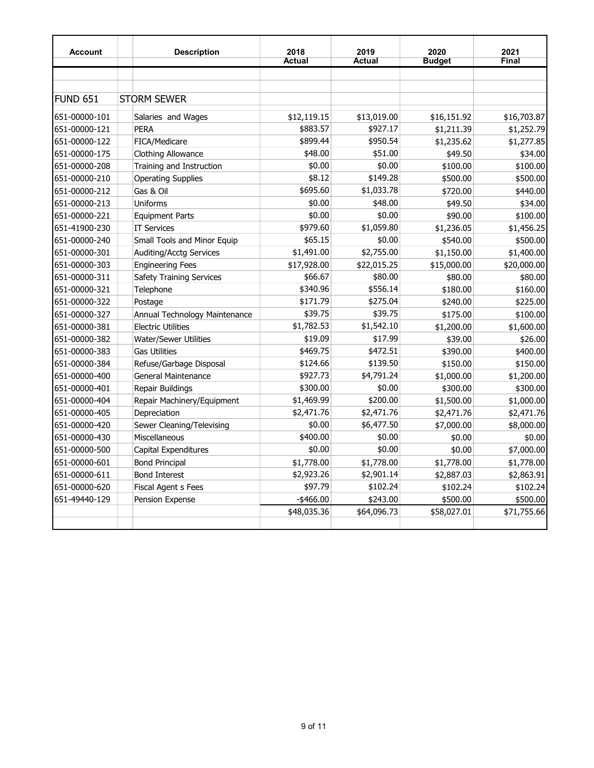| <b>Account</b>  | <b>Description</b>              | 2018          | 2019          | 2020          | 2021         |
|-----------------|---------------------------------|---------------|---------------|---------------|--------------|
|                 |                                 | <b>Actual</b> | <b>Actual</b> | <b>Budget</b> | <b>Final</b> |
|                 |                                 |               |               |               |              |
|                 |                                 |               |               |               |              |
| <b>FUND 651</b> | <b>STORM SEWER</b>              |               |               |               |              |
| 651-00000-101   | Salaries and Wages              | \$12,119.15   | \$13,019.00   | \$16,151.92   | \$16,703.87  |
| 651-00000-121   | <b>PERA</b>                     | \$883.57      | \$927.17      | \$1,211.39    | \$1,252.79   |
| 651-00000-122   | FICA/Medicare                   | \$899.44      | \$950.54      | \$1,235.62    | \$1,277.85   |
| 651-00000-175   | <b>Clothing Allowance</b>       | \$48.00       | \$51.00       | \$49.50       | \$34.00      |
| 651-00000-208   | Training and Instruction        | \$0.00        | \$0.00        | \$100.00      | \$100.00     |
| 651-00000-210   | <b>Operating Supplies</b>       | \$8.12        | \$149.28      | \$500.00      | \$500.00     |
| 651-00000-212   | Gas & Oil                       | \$695.60      | \$1,033.78    | \$720.00      | \$440.00     |
| 651-00000-213   | Uniforms                        | \$0.00        | \$48.00       | \$49.50       | \$34.00      |
| 651-00000-221   | <b>Equipment Parts</b>          | \$0.00        | \$0.00        | \$90.00       | \$100.00     |
| 651-41900-230   | <b>IT Services</b>              | \$979.60      | \$1,059.80    | \$1,236.05    | \$1,456.25   |
| 651-00000-240   | Small Tools and Minor Equip     | \$65.15       | \$0.00        | \$540.00      | \$500.00     |
| 651-00000-301   | <b>Auditing/Acctg Services</b>  | \$1,491.00    | \$2,755.00    | \$1,150.00    | \$1,400.00   |
| 651-00000-303   | <b>Engineering Fees</b>         | \$17,928.00   | \$22,015.25   | \$15,000.00   | \$20,000.00  |
| 651-00000-311   | <b>Safety Training Services</b> | \$66.67       | \$80.00       | \$80.00       | \$80.00      |
| 651-00000-321   | Telephone                       | \$340.96      | \$556.14      | \$180.00      | \$160.00     |
| 651-00000-322   | Postage                         | \$171.79      | \$275.04      | \$240.00      | \$225.00     |
| 651-00000-327   | Annual Technology Maintenance   | \$39.75       | \$39.75       | \$175.00      | \$100.00     |
| 651-00000-381   | <b>Electric Utilities</b>       | \$1,782.53    | \$1,542.10    | \$1,200.00    | \$1,600.00   |
| 651-00000-382   | <b>Water/Sewer Utilities</b>    | \$19.09       | \$17.99       | \$39.00       | \$26.00      |
| 651-00000-383   | <b>Gas Utilities</b>            | \$469.75      | \$472.51      | \$390.00      | \$400.00     |
| 651-00000-384   | Refuse/Garbage Disposal         | \$124.66      | \$139.50      | \$150.00      | \$150.00     |
| 651-00000-400   | <b>General Maintenance</b>      | \$927.73      | \$4,791.24    | \$1,000.00    | \$1,200.00   |
| 651-00000-401   | Repair Buildings                | \$300.00      | \$0.00        | \$300.00      | \$300.00     |
| 651-00000-404   | Repair Machinery/Equipment      | \$1,469.99    | \$200.00      | \$1,500.00    | \$1,000.00   |
| 651-00000-405   | Depreciation                    | \$2,471.76    | \$2,471.76    | \$2,471.76    | \$2,471.76   |
| 651-00000-420   | Sewer Cleaning/Televising       | \$0.00        | \$6,477.50    | \$7,000.00    | \$8,000.00   |
| 651-00000-430   | Miscellaneous                   | \$400.00      | \$0.00        | \$0.00        | \$0.00       |
| 651-00000-500   | Capital Expenditures            | \$0.00        | \$0.00        | \$0.00        | \$7,000.00   |
| 651-00000-601   | <b>Bond Principal</b>           | \$1,778.00    | \$1,778.00    | \$1,778.00    | \$1,778.00   |
| 651-00000-611   | <b>Bond Interest</b>            | \$2,923.26    | \$2,901.14    | \$2,887.03    | \$2,863.91   |
| 651-00000-620   | <b>Fiscal Agent s Fees</b>      | \$97.79       | \$102.24      | \$102.24      | \$102.24     |
| 651-49440-129   | Pension Expense                 | $-$ \$466.00  | \$243.00      | \$500.00      | \$500.00     |
|                 |                                 | \$48,035.36   | \$64,096.73   | \$58,027.01   | \$71,755.66  |
|                 |                                 |               |               |               |              |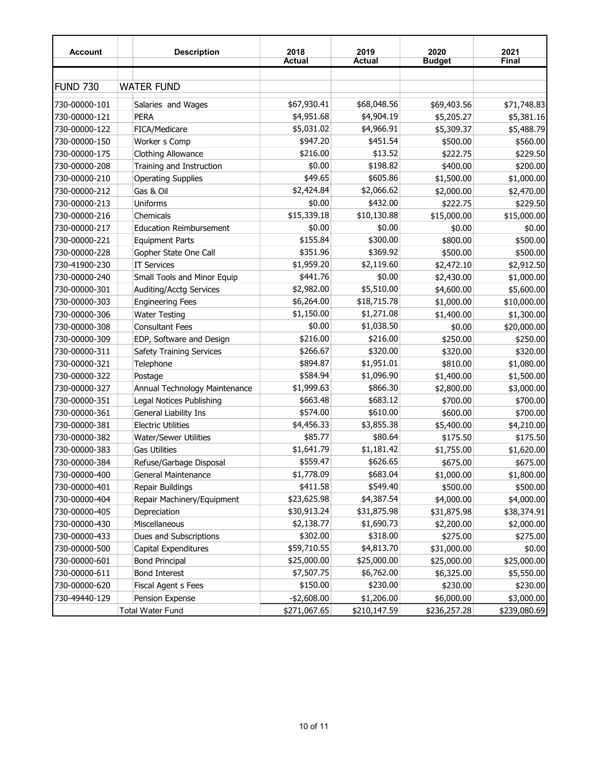| <b>Account</b>  | <b>Description</b>              | 2018<br><b>Actual</b> | 2019<br><b>Actual</b> | 2020<br><b>Budget</b> | 2021<br>Final |
|-----------------|---------------------------------|-----------------------|-----------------------|-----------------------|---------------|
|                 |                                 |                       |                       |                       |               |
| <b>FUND 730</b> | <b>WATER FUND</b>               |                       |                       |                       |               |
| 730-00000-101   | Salaries and Wages              | \$67,930.41           | \$68,048.56           | \$69,403.56           | \$71,748.83   |
| 730-00000-121   | <b>PERA</b>                     | \$4,951.68            | \$4,904.19            | \$5,205.27            | \$5,381.16    |
| 730-00000-122   | FICA/Medicare                   | \$5,031.02            | \$4,966.91            | \$5,309.37            | \$5,488.79    |
| 730-00000-150   | Worker s Comp                   | \$947.20              | \$451.54              | \$500.00              | \$560.00      |
| 730-00000-175   | <b>Clothing Allowance</b>       | \$216.00              | \$13.52               | \$222.75              | \$229.50      |
| 730-00000-208   | Training and Instruction        | \$0.00                | \$198.82              | \$400.00              | \$200.00      |
| 730-00000-210   | <b>Operating Supplies</b>       | \$49.65               | \$605.86              | \$1,500.00            | \$1,000.00    |
| 730-00000-212   | Gas & Oil                       | \$2,424.84            | \$2,066.62            | \$2,000.00            | \$2,470.00    |
| 730-00000-213   | Uniforms                        | \$0.00                | \$432.00              | \$222.75              | \$229.50      |
| 730-00000-216   | Chemicals                       | \$15,339.18           | \$10,130.88           | \$15,000.00           | \$15,000.00   |
| 730-00000-217   | <b>Education Reimbursement</b>  | \$0.00                | \$0.00                | \$0.00                | \$0.00        |
| 730-00000-221   | <b>Equipment Parts</b>          | \$155.84              | \$300.00              | \$800.00              | \$500.00      |
| 730-00000-228   | Gopher State One Call           | \$351.96              | \$369.92              | \$500.00              | \$500.00      |
| 730-41900-230   | <b>IT Services</b>              | \$1,959.20            | \$2,119.60            | \$2,472.10            | \$2,912.50    |
| 730-00000-240   | Small Tools and Minor Equip     | \$441.76              | \$0.00                | \$2,430.00            | \$1,000.00    |
| 730-00000-301   | Auditing/Acctg Services         | \$2,982.00            | \$5,510.00            | \$4,600.00            | \$5,600.00    |
| 730-00000-303   | <b>Engineering Fees</b>         | \$6,264.00            | \$18,715.78           | \$1,000.00            | \$10,000.00   |
| 730-00000-306   | <b>Water Testing</b>            | \$1,150.00            | \$1,271.08            | \$1,400.00            | \$1,300.00    |
| 730-00000-308   | <b>Consultant Fees</b>          | \$0.00                | \$1,038.50            | \$0.00                | \$20,000.00   |
| 730-00000-309   | EDP, Software and Design        | \$216.00              | \$216.00              | \$250.00              | \$250.00      |
| 730-00000-311   | <b>Safety Training Services</b> | \$266.67              | \$320.00              | \$320.00              | \$320.00      |
| 730-00000-321   | Telephone                       | \$894.87              | \$1,951.01            | \$810.00              | \$1,080.00    |
| 730-00000-322   | Postage                         | \$584.94              | \$1,096.90            | \$1,400.00            | \$1,500.00    |
| 730-00000-327   | Annual Technology Maintenance   | \$1,999.63            | \$866.30              | \$2,800.00            | \$3,000.00    |
| 730-00000-351   | Legal Notices Publishing        | \$663.48              | \$683.12              | \$700.00              | \$700.00      |
| 730-00000-361   | General Liability Ins           | \$574.00              | \$610.00              | \$600.00              | \$700.00      |
| 730-00000-381   | <b>Electric Utilities</b>       | \$4,456.33            | \$3,855.38            | \$5,400.00            | \$4,210.00    |
| 730-00000-382   | Water/Sewer Utilities           | \$85.77               | \$80.64               | \$175.50              | \$175.50      |
| 730-00000-383   | Gas Utilities                   | \$1,641.79            | \$1,181.42            | \$1,755.00            | \$1,620.00    |
| 730-00000-384   | Refuse/Garbage Disposal         | \$559.47              | \$626.65              | \$675.00              | \$675.00      |
| 730-00000-400   | General Maintenance             | \$1,778.09            | \$683.04              | \$1,000.00            | \$1,800.00    |
| 730-00000-401   | Repair Buildings                | \$411.58              | \$549.40              | \$500.00              | \$500.00      |
| 730-00000-404   | Repair Machinery/Equipment      | \$23,625.98           | \$4,387.54            | \$4,000.00            | \$4,000.00    |
| 730-00000-405   | Depreciation                    | \$30,913.24           | \$31,875.98           | \$31,875.98           | \$38,374.91   |
| 730-00000-430   | Miscellaneous                   | \$2,138.77            | \$1,690.73            | \$2,200.00            | \$2,000.00    |
| 730-00000-433   | Dues and Subscriptions          | \$302.00              | \$318.00              | \$275.00              | \$275.00      |
| 730-00000-500   | Capital Expenditures            | \$59,710.55           | \$4,813.70            | \$31,000.00           | \$0.00        |
| 730-00000-601   | <b>Bond Principal</b>           | \$25,000.00           | \$25,000.00           | \$25,000.00           | \$25,000.00   |
| 730-00000-611   | <b>Bond Interest</b>            | \$7,507.75            | \$6,762.00            | \$6,325.00            | \$5,550.00    |
| 730-00000-620   | <b>Fiscal Agent s Fees</b>      | \$150.00              | \$230.00              | \$230.00              | \$230.00      |
| 730-49440-129   | Pension Expense                 | $-$2,608.00$          | \$1,206.00            | \$6,000.00            | \$3,000.00    |
|                 | <b>Total Water Fund</b>         | \$271,067.65          | \$210,147.59          | \$236,257.28          | \$239,080.69  |